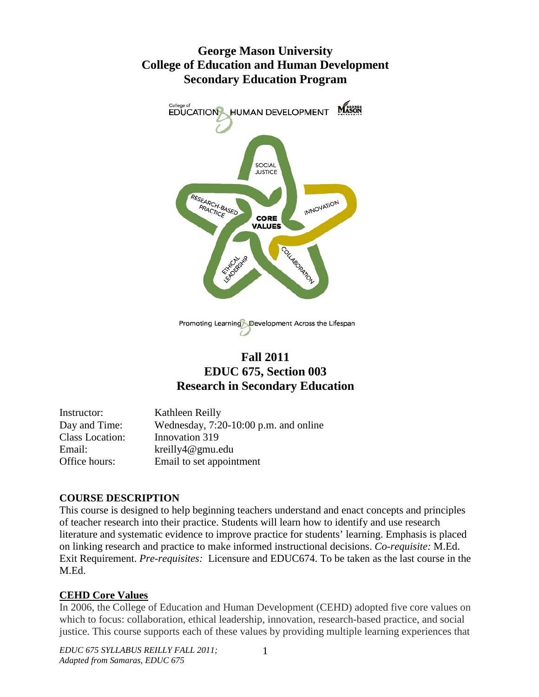# **George Mason University College of Education and Human Development Secondary Education Program**



# **Fall 2011 EDUC 675, Section 003 Research in Secondary Education**

| Instructor:     | Kathleen Reilly                         |
|-----------------|-----------------------------------------|
| Day and Time:   | Wednesday, $7:20-10:00$ p.m. and online |
| Class Location: | Innovation 319                          |
| Email:          | $k$ reilly $4@g$ mu.edu                 |
| Office hours:   | Email to set appointment                |

#### **COURSE DESCRIPTION**

This course is designed to help beginning teachers understand and enact concepts and principles of teacher research into their practice. Students will learn how to identify and use research literature and systematic evidence to improve practice for students' learning. Emphasis is placed on linking research and practice to make informed instructional decisions. *Co-requisite:* M.Ed. Exit Requirement. *Pre-requisites:* Licensure and EDUC674. To be taken as the last course in the M.Ed.

## **CEHD Core Values**

In 2006, the College of Education and Human Development (CEHD) adopted five core values on which to focus: collaboration, ethical leadership, innovation, research-based practice, and social justice. This course supports each of these values by providing multiple learning experiences that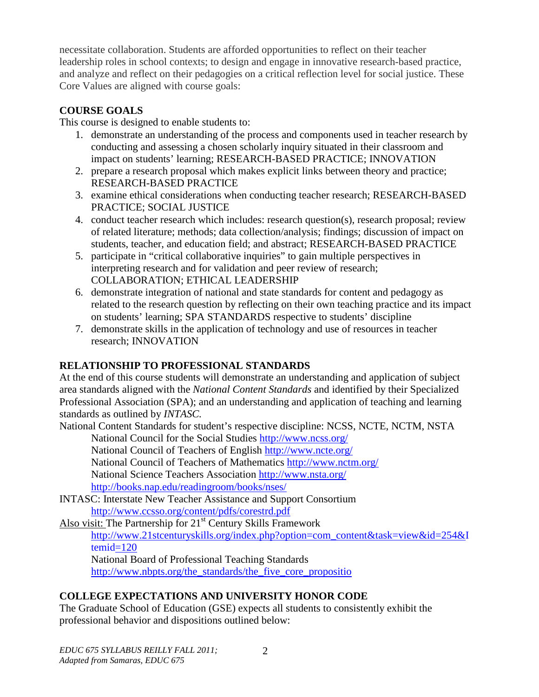necessitate collaboration. Students are afforded opportunities to reflect on their teacher leadership roles in school contexts; to design and engage in innovative research-based practice, and analyze and reflect on their pedagogies on a critical reflection level for social justice. These Core Values are aligned with course goals:

## **COURSE GOALS**

This course is designed to enable students to:

- 1. demonstrate an understanding of the process and components used in teacher research by conducting and assessing a chosen scholarly inquiry situated in their classroom and impact on students' learning; RESEARCH-BASED PRACTICE; INNOVATION
- 2. prepare a research proposal which makes explicit links between theory and practice; RESEARCH-BASED PRACTICE
- 3. examine ethical considerations when conducting teacher research; RESEARCH-BASED PRACTICE; SOCIAL JUSTICE
- 4. conduct teacher research which includes: research question(s), research proposal; review of related literature; methods; data collection/analysis; findings; discussion of impact on students, teacher, and education field; and abstract; RESEARCH-BASED PRACTICE
- 5. participate in "critical collaborative inquiries" to gain multiple perspectives in interpreting research and for validation and peer review of research; COLLABORATION; ETHICAL LEADERSHIP
- 6. demonstrate integration of national and state standards for content and pedagogy as related to the research question by reflecting on their own teaching practice and its impact on students' learning; SPA STANDARDS respective to students' discipline
- 7. demonstrate skills in the application of technology and use of resources in teacher research; INNOVATION

## **RELATIONSHIP TO PROFESSIONAL STANDARDS**

At the end of this course students will demonstrate an understanding and application of subject area standards aligned with the *National Content Standards* and identified by their Specialized Professional Association (SPA); and an understanding and application of teaching and learning standards as outlined by *INTASC.*

National Content Standards for student's respective discipline: NCSS, NCTE, NCTM, NSTA National Council for the Social Studies<http://www.ncss.org/>

National Council of Teachers of English<http://www.ncte.org/> National Council of Teachers of Mathematics<http://www.nctm.org/> National Science Teachers Association<http://www.nsta.org/>

<http://books.nap.edu/readingroom/books/nses/>

[INTASC: Interstate New Teacher Assistance and Support Consortium](http://www.ccsso.org/content/pdfs/corestrd.pdf) <http://www.ccsso.org/content/pdfs/corestrd.pdf>

Also visit: The Partnership for  $21<sup>st</sup>$  Century Skills Framework

[http://www.21stcenturyskills.org/index.php?option=com\\_content&task=view&id=254&I](http://www.21stcenturyskills.org/index.php?option=com_content&task=view&id=254&Itemid=120) [temid=120](http://www.21stcenturyskills.org/index.php?option=com_content&task=view&id=254&Itemid=120)

National Board of Professional Teaching Standards

[http://www.nbpts.org/the\\_standards/the\\_five\\_core\\_propositio](http://www.nbpts.org/the_standards/the_five_core_propositio)

## **COLLEGE EXPECTATIONS AND UNIVERSITY HONOR CODE**

The Graduate School of Education (GSE) expects all students to consistently exhibit the professional behavior and dispositions outlined below: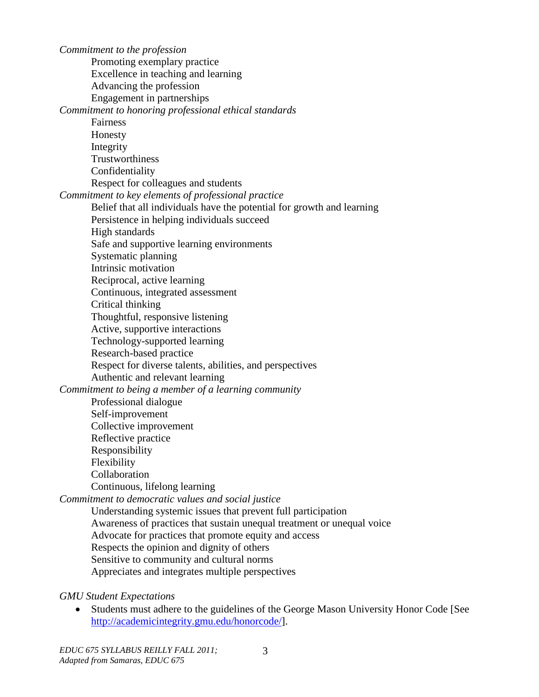*Commitment to the profession* Promoting exemplary practice Excellence in teaching and learning Advancing the profession Engagement in partnerships *Commitment to honoring professional ethical standards* Fairness Honesty Integrity Trustworthiness Confidentiality Respect for colleagues and students *Commitment to key elements of professional practice* Belief that all individuals have the potential for growth and learning Persistence in helping individuals succeed High standards Safe and supportive learning environments Systematic planning Intrinsic motivation Reciprocal, active learning Continuous, integrated assessment Critical thinking Thoughtful, responsive listening Active, supportive interactions Technology-supported learning Research-based practice Respect for diverse talents, abilities, and perspectives Authentic and relevant learning *Commitment to being a member of a learning community* Professional dialogue Self-improvement Collective improvement Reflective practice Responsibility Flexibility Collaboration Continuous, lifelong learning *Commitment to democratic values and social justice* Understanding systemic issues that prevent full participation Awareness of practices that sustain unequal treatment or unequal voice Advocate for practices that promote equity and access Respects the opinion and dignity of others Sensitive to community and cultural norms Appreciates and integrates multiple perspectives

*GMU Student Expectations*

• Students must adhere to the guidelines of the George Mason University Honor Code [See [http://academicintegrity.gmu.edu/honorcode/\]](http://academicintegrity.gmu.edu/honorcode/).

3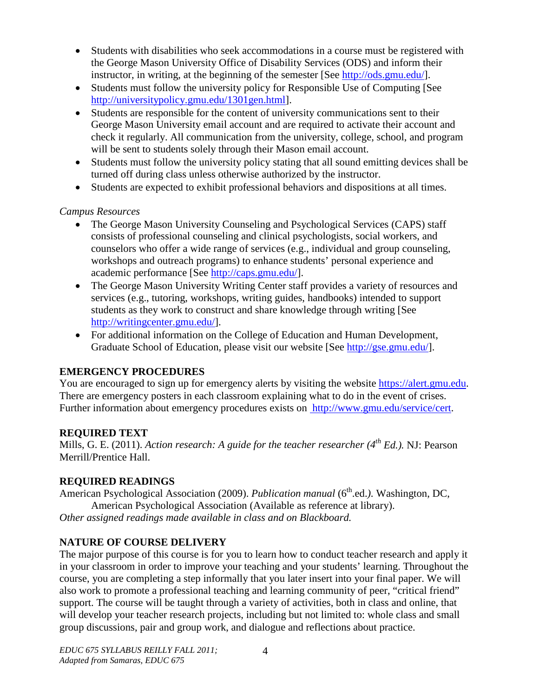- Students with disabilities who seek accommodations in a course must be registered with the George Mason University Office of Disability Services (ODS) and inform their instructor, in writing, at the beginning of the semester [See [http://ods.gmu.edu/\]](http://ods.gmu.edu/).
- Students must follow the university policy for Responsible Use of Computing [See [http://universitypolicy.gmu.edu/1301gen.html\]](http://universitypolicy.gmu.edu/1301gen.html).
- Students are responsible for the content of university communications sent to their George Mason University email account and are required to activate their account and check it regularly. All communication from the university, college, school, and program will be sent to students solely through their Mason email account.
- Students must follow the university policy stating that all sound emitting devices shall be turned off during class unless otherwise authorized by the instructor.
- Students are expected to exhibit professional behaviors and dispositions at all times.

### *Campus Resources*

- The George Mason University Counseling and Psychological Services (CAPS) staff consists of professional counseling and clinical psychologists, social workers, and counselors who offer a wide range of services (e.g., individual and group counseling, workshops and outreach programs) to enhance students' personal experience and academic performance [See [http://caps.gmu.edu/\]](http://caps.gmu.edu/).
- The George Mason University Writing Center staff provides a variety of resources and services (e.g., tutoring, workshops, writing guides, handbooks) intended to support students as they work to construct and share knowledge through writing [See [http://writingcenter.gmu.edu/\]](http://writingcenter.gmu.edu/).
- For additional information on the College of Education and Human Development, Graduate School of Education, please visit our website [See [http://gse.gmu.edu/\]](http://gse.gmu.edu/).

## **EMERGENCY PROCEDURES**

You are encouraged to sign up for emergency alerts by visiting the website [https://alert.gmu.edu.](https://alert.gmu.edu/) There are emergency posters in each classroom explaining what to do in the event of crises. Further information about emergency procedures exists on [http://www.gmu.edu/service/cert.](http://www.gmu.edu/service/cert)

## **REQUIRED TEXT**

Mills, G. E. (2011). *Action research: A guide for the teacher researcher (4th Ed.).* NJ: Pearson Merrill/Prentice Hall.

## **REQUIRED READINGS**

American Psychological Association (2009). *Publication manual* (6<sup>th</sup>.ed.). Washington, DC, American Psychological Association (Available as reference at library). *Other assigned readings made available in class and on Blackboard.*

## **NATURE OF COURSE DELIVERY**

The major purpose of this course is for you to learn how to conduct teacher research and apply it in your classroom in order to improve your teaching and your students' learning. Throughout the course, you are completing a step informally that you later insert into your final paper. We will also work to promote a professional teaching and learning community of peer, "critical friend" support. The course will be taught through a variety of activities, both in class and online, that will develop your teacher research projects, including but not limited to: whole class and small group discussions, pair and group work, and dialogue and reflections about practice.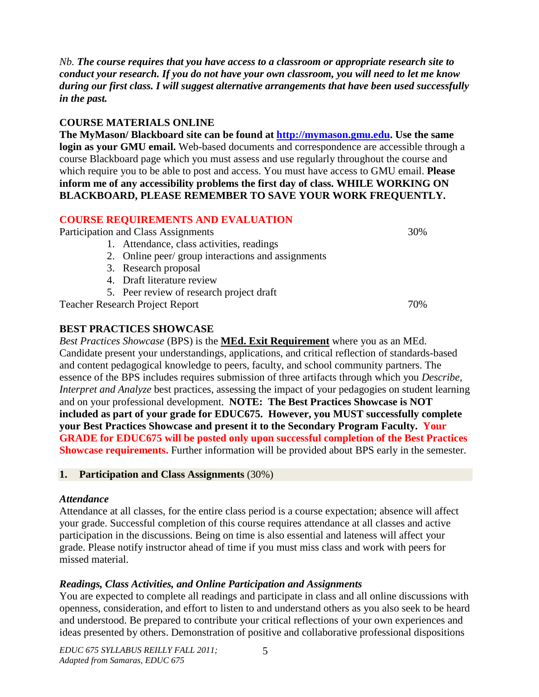*Nb. The course requires that you have access to a classroom or appropriate research site to conduct your research. If you do not have your own classroom, you will need to let me know during our first class. I will suggest alternative arrangements that have been used successfully in the past.*

#### **COURSE MATERIALS ONLINE**

**The MyMason/ Blackboard site can be found at [http://mymason.gmu.edu.](http://mymason.gmu.edu/) Use the same login as your GMU email.** Web-based documents and correspondence are accessible through a course Blackboard page which you must assess and use regularly throughout the course and which require you to be able to post and access. You must have access to GMU email. **Please inform me of any accessibility problems the first day of class. WHILE WORKING ON BLACKBOARD, PLEASE REMEMBER TO SAVE YOUR WORK FREQUENTLY.**

#### **COURSE REQUIREMENTS AND EVALUATION**

Participation and Class Assignments 30%

- 1. Attendance, class activities, readings
- 2. Online peer/ group interactions and assignments
- 3. Research proposal
- 4. Draft literature review
- 5. Peer review of research project draft

Teacher Research Project Report 70%

### **BEST PRACTICES SHOWCASE**

*Best Practices Showcase* (BPS) is the **MEd. Exit Requirement** where you as an MEd. Candidate present your understandings, applications, and critical reflection of standards-based and content pedagogical knowledge to peers, faculty, and school community partners. The essence of the BPS includes requires submission of three artifacts through which you *Describe, Interpret and Analyze* best practices, assessing the impact of your pedagogies on student learning and on your professional development. **NOTE: The Best Practices Showcase is NOT included as part of your grade for EDUC675. However, you MUST successfully complete your Best Practices Showcase and present it to the Secondary Program Faculty. Your GRADE for EDUC675 will be posted only upon successful completion of the Best Practices Showcase requirements.** Further information will be provided about BPS early in the semester.

#### **1. Participation and Class Assignments** (30%)

#### *Attendance*

Attendance at all classes, for the entire class period is a course expectation; absence will affect your grade. Successful completion of this course requires attendance at all classes and active participation in the discussions. Being on time is also essential and lateness will affect your grade. Please notify instructor ahead of time if you must miss class and work with peers for missed material.

## *Readings, Class Activities, and Online Participation and Assignments*

You are expected to complete all readings and participate in class and all online discussions with openness, consideration, and effort to listen to and understand others as you also seek to be heard and understood. Be prepared to contribute your critical reflections of your own experiences and ideas presented by others. Demonstration of positive and collaborative professional dispositions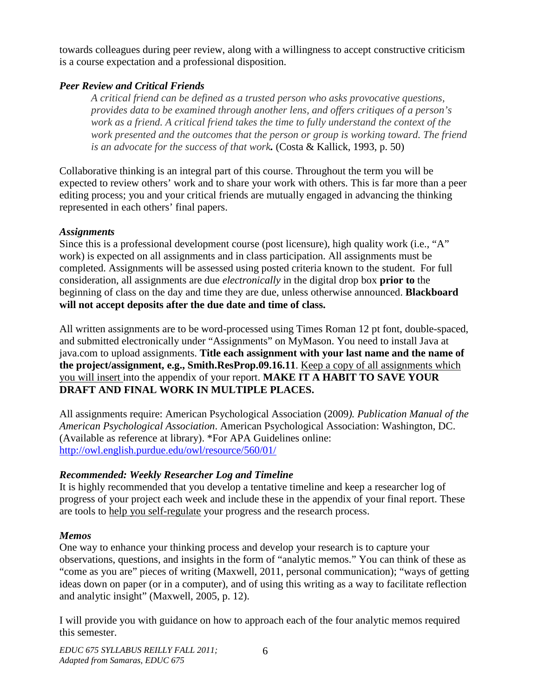towards colleagues during peer review, along with a willingness to accept constructive criticism is a course expectation and a professional disposition.

### *Peer Review and Critical Friends*

*A critical friend can be defined as a trusted person who asks provocative questions, provides data to be examined through another lens, and offers critiques of a person's work as a friend. A critical friend takes the time to fully understand the context of the work presented and the outcomes that the person or group is working toward. The friend is an advocate for the success of that work.* (Costa & Kallick, 1993, p. 50)

Collaborative thinking is an integral part of this course. Throughout the term you will be expected to review others' work and to share your work with others. This is far more than a peer editing process; you and your critical friends are mutually engaged in advancing the thinking represented in each others' final papers.

#### *Assignments*

Since this is a professional development course (post licensure), high quality work (i.e., "A" work) is expected on all assignments and in class participation. All assignments must be completed. Assignments will be assessed using posted criteria known to the student. For full consideration, all assignments are due *electronically* in the digital drop box **prior to** the beginning of class on the day and time they are due, unless otherwise announced. **Blackboard will not accept deposits after the due date and time of class.**

All written assignments are to be word-processed using Times Roman 12 pt font, double-spaced, and submitted electronically under "Assignments" on MyMason. You need to install Java at java.com to upload assignments. **Title each assignment with your last name and the name of the project/assignment, e.g., Smith.ResProp.09.16.11**. Keep a copy of all assignments which you will insert into the appendix of your report. **MAKE IT A HABIT TO SAVE YOUR DRAFT AND FINAL WORK IN MULTIPLE PLACES.**

All assignments require: American Psychological Association (2009*). Publication Manual of the American Psychological Association*. American Psychological Association: Washington, DC. (Available as reference at library). \*For APA Guidelines online: <http://owl.english.purdue.edu/owl/resource/560/01/>

## *Recommended: Weekly Researcher Log and Timeline*

It is highly recommended that you develop a tentative timeline and keep a researcher log of progress of your project each week and include these in the appendix of your final report. These are tools to help you self-regulate your progress and the research process.

## *Memos*

One way to enhance your thinking process and develop your research is to capture your observations, questions, and insights in the form of "analytic memos." You can think of these as "come as you are" pieces of writing (Maxwell, 2011, personal communication); "ways of getting ideas down on paper (or in a computer), and of using this writing as a way to facilitate reflection and analytic insight" (Maxwell, 2005, p. 12).

I will provide you with guidance on how to approach each of the four analytic memos required this semester.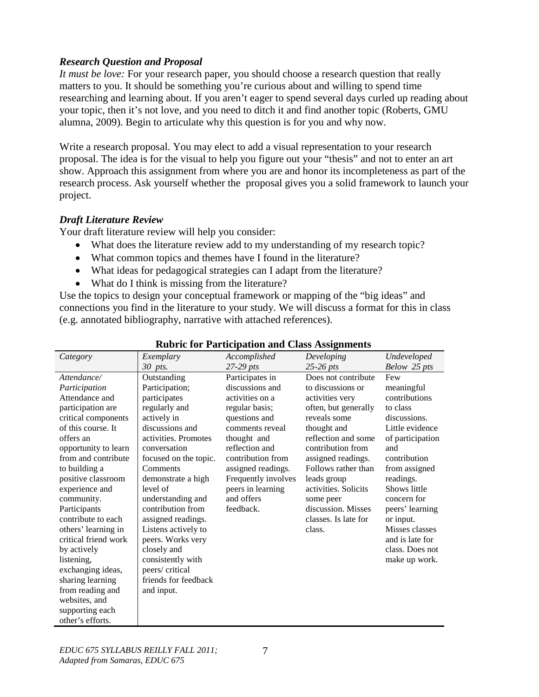#### *Research Question and Proposal*

*It must be love:* For your research paper, you should choose a research question that really matters to you. It should be something you're curious about and willing to spend time researching and learning about. If you aren't eager to spend several days curled up reading about your topic, then it's not love, and you need to ditch it and find another topic (Roberts, GMU alumna, 2009). Begin to articulate why this question is for you and why now.

Write a research proposal. You may elect to add a visual representation to your research proposal. The idea is for the visual to help you figure out your "thesis" and not to enter an art show. Approach this assignment from where you are and honor its incompleteness as part of the research process. Ask yourself whether the proposal gives you a solid framework to launch your project.

### *Draft Literature Review*

Your draft literature review will help you consider:

- What does the literature review add to my understanding of my research topic?
- What common topics and themes have I found in the literature?
- What ideas for pedagogical strategies can I adapt from the literature?
- What do I think is missing from the literature?

Use the topics to design your conceptual framework or mapping of the "big ideas" and connections you find in the literature to your study. We will discuss a format for this in class (e.g. annotated bibliography, narrative with attached references).

| Category             | Exemplary             | Accomplished        | Developing           | Undeveloped      |
|----------------------|-----------------------|---------------------|----------------------|------------------|
|                      | 30 pts.               | $27-29$ pts         | $25-26$ pts          | Below 25 pts     |
| Attendance/          | Outstanding           | Participates in     | Does not contribute  | Few              |
| Participation        | Participation;        | discussions and     | to discussions or    | meaningful       |
| Attendance and       | participates          | activities on a     | activities very      | contributions    |
| participation are    | regularly and         | regular basis;      | often, but generally | to class         |
| critical components  | actively in           | questions and       | reveals some         | discussions.     |
| of this course. It   | discussions and       | comments reveal     | thought and          | Little evidence  |
| offers an            | activities. Promotes  | thought and         | reflection and some  | of participation |
| opportunity to learn | conversation          | reflection and      | contribution from    | and              |
| from and contribute  | focused on the topic. | contribution from   | assigned readings.   | contribution     |
| to building a        | Comments              | assigned readings.  | Follows rather than  | from assigned    |
| positive classroom   | demonstrate a high    | Frequently involves | leads group          | readings.        |
| experience and       | level of              | peers in learning   | activities. Solicits | Shows little     |
| community.           | understanding and     | and offers          | some peer            | concern for      |
| Participants         | contribution from     | feedback.           | discussion. Misses   | peers' learning  |
| contribute to each   | assigned readings.    |                     | classes. Is late for | or input.        |
| others' learning in  | Listens actively to   |                     | class.               | Misses classes   |
| critical friend work | peers. Works very     |                     |                      | and is late for  |
| by actively          | closely and           |                     |                      | class. Does not  |
| listening,           | consistently with     |                     |                      | make up work.    |
| exchanging ideas,    | peers/critical        |                     |                      |                  |
| sharing learning     | friends for feedback  |                     |                      |                  |
| from reading and     | and input.            |                     |                      |                  |
| websites, and        |                       |                     |                      |                  |
| supporting each      |                       |                     |                      |                  |
| other's efforts.     |                       |                     |                      |                  |

### **Rubric for Participation and Class Assignments**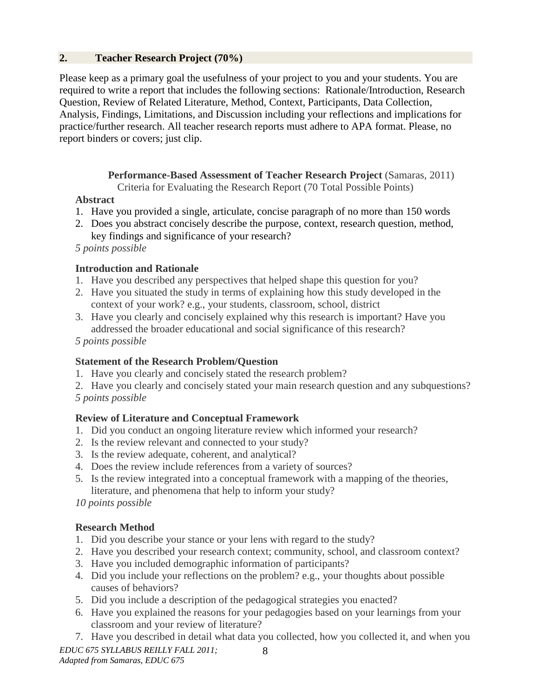#### **2. Teacher Research Project (70%)**

Please keep as a primary goal the usefulness of your project to you and your students. You are required to write a report that includes the following sections: Rationale/Introduction, Research Question, Review of Related Literature, Method, Context, Participants, Data Collection, Analysis, Findings, Limitations, and Discussion including your reflections and implications for practice/further research. All teacher research reports must adhere to APA format. Please, no report binders or covers; just clip.

> **Performance-Based Assessment of Teacher Research Project** (Samaras, 2011) Criteria for Evaluating the Research Report (70 Total Possible Points)

### **Abstract**

- 1. Have you provided a single, articulate, concise paragraph of no more than 150 words
- 2. Does you abstract concisely describe the purpose, context, research question, method, key findings and significance of your research?

 *5 points possible*

## **Introduction and Rationale**

- 1. Have you described any perspectives that helped shape this question for you?
- 2. Have you situated the study in terms of explaining how this study developed in the context of your work? e.g., your students, classroom, school, district
- 3. Have you clearly and concisely explained why this research is important? Have you addressed the broader educational and social significance of this research?

 *5 points possible*

## **Statement of the Research Problem/Question**

1. Have you clearly and concisely stated the research problem?

2. Have you clearly and concisely stated your main research question and any subquestions? *5 points possible*

## **Review of Literature and Conceptual Framework**

- 1. Did you conduct an ongoing literature review which informed your research?
- 2. Is the review relevant and connected to your study?
- 3. Is the review adequate, coherent, and analytical?
- 4. Does the review include references from a variety of sources?
- 5. Is the review integrated into a conceptual framework with a mapping of the theories, literature, and phenomena that help to inform your study?

*10 points possible*

## **Research Method**

- 1. Did you describe your stance or your lens with regard to the study?
- 2. Have you described your research context; community, school, and classroom context?
- 3. Have you included demographic information of participants?
- 4. Did you include your reflections on the problem? e.g., your thoughts about possible causes of behaviors?
- 5. Did you include a description of the pedagogical strategies you enacted?
- 6. Have you explained the reasons for your pedagogies based on your learnings from your classroom and your review of literature?
- *EDUC 675 SYLLABUS REILLY FALL 2011;*  8 7. Have you described in detail what data you collected, how you collected it, and when you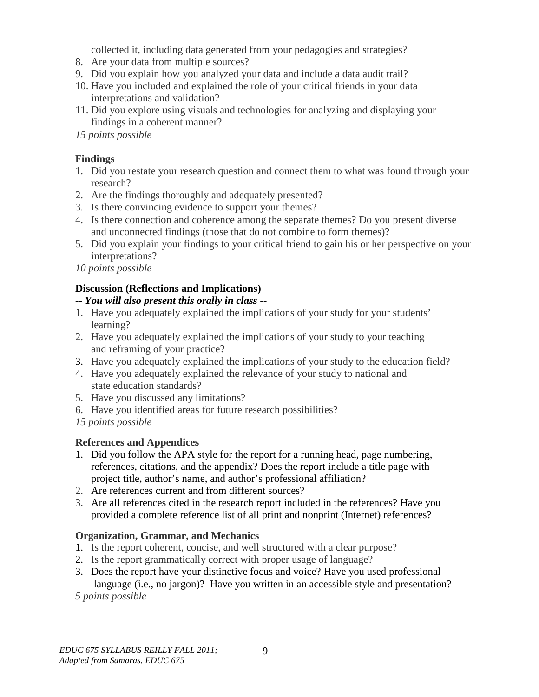collected it, including data generated from your pedagogies and strategies?

- 8. Are your data from multiple sources?
- 9. Did you explain how you analyzed your data and include a data audit trail?
- 10. Have you included and explained the role of your critical friends in your data interpretations and validation?
- 11. Did you explore using visuals and technologies for analyzing and displaying your findings in a coherent manner?

*15 points possible*

### **Findings**

- 1. Did you restate your research question and connect them to what was found through your research?
- 2. Are the findings thoroughly and adequately presented?
- 3. Is there convincing evidence to support your themes?
- 4. Is there connection and coherence among the separate themes? Do you present diverse and unconnected findings (those that do not combine to form themes)?
- 5. Did you explain your findings to your critical friend to gain his or her perspective on your interpretations?

*10 points possible*

## **Discussion (Reflections and Implications)**

### *-- You will also present this orally in class --*

- 1. Have you adequately explained the implications of your study for your students' learning?
- 2. Have you adequately explained the implications of your study to your teaching and reframing of your practice?
- 3. Have you adequately explained the implications of your study to the education field?
- 4. Have you adequately explained the relevance of your study to national and state education standards?
- 5. Have you discussed any limitations?
- 6. Have you identified areas for future research possibilities?

*15 points possible*

## **References and Appendices**

- 1. Did you follow the APA style for the report for a running head, page numbering, references, citations, and the appendix? Does the report include a title page with project title, author's name, and author's professional affiliation?
- 2. Are references current and from different sources?
- 3. Are all references cited in the research report included in the references? Have you provided a complete reference list of all print and nonprint (Internet) references?

## **Organization, Grammar, and Mechanics**

- 1. Is the report coherent, concise, and well structured with a clear purpose?
- 2. Is the report grammatically correct with proper usage of language?
- 3. Does the report have your distinctive focus and voice? Have you used professional language (i.e., no jargon)? Have you written in an accessible style and presentation?

*5 points possible*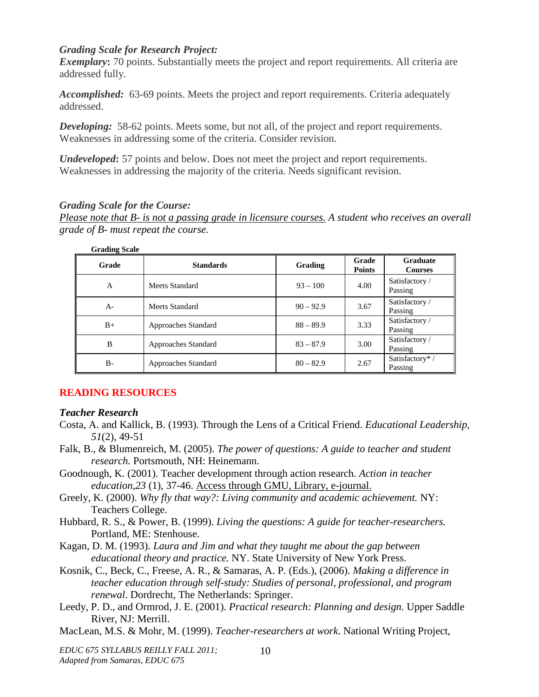#### *Grading Scale for Research Project:*

*Exemplary*: 70 points. Substantially meets the project and report requirements. All criteria are addressed fully.

*Accomplished:* 63-69 points. Meets the project and report requirements. Criteria adequately addressed.

**Developing:** 58-62 points. Meets some, but not all, of the project and report requirements. Weaknesses in addressing some of the criteria. Consider revision.

*Undeveloped***:** 57 points and below. Does not meet the project and report requirements. Weaknesses in addressing the majority of the criteria. Needs significant revision.

#### *Grading Scale for the Course:*

*Please note that B- is not a passing grade in licensure courses. A student who receives an overall grade of B- must repeat the course.* 

| <b>Grading Scale</b> |                     |             |                        |                                   |
|----------------------|---------------------|-------------|------------------------|-----------------------------------|
| Grade                | <b>Standards</b>    | Grading     | Grade<br><b>Points</b> | <b>Graduate</b><br><b>Courses</b> |
| $\mathsf{A}$         | Meets Standard      | $93 - 100$  | 4.00                   | Satisfactory /<br>Passing         |
| $A -$                | Meets Standard      | $90 - 92.9$ | 3.67                   | Satisfactory /<br>Passing         |
| $B+$                 | Approaches Standard | $88 - 89.9$ | 3.33                   | Satisfactory /<br>Passing         |
| B                    | Approaches Standard | $83 - 87.9$ | 3.00                   | Satisfactory /<br>Passing         |
| B-                   | Approaches Standard | $80 - 82.9$ | 2.67                   | Satisfactory*/<br>Passing         |

#### **READING RESOURCES**

#### *Teacher Research*

- Costa, A. and Kallick, B. (1993). Through the Lens of a Critical Friend. *Educational Leadership, 51*(2), 49-51
- Falk, B., & Blumenreich, M. (2005). *The power of questions: A guide to teacher and student research.* Portsmouth, NH: Heinemann.
- Goodnough, K. (2001). Teacher development through action research. *Action in teacher education,23* (1), 37-46. Access through GMU, Library, e-journal.
- Greely, K. (2000). *Why fly that way?: Living community and academic achievement.* NY: Teachers College.
- Hubbard, R. S., & Power, B. (1999). *Living the questions: A guide for teacher-researchers.*  Portland, ME: Stenhouse.
- Kagan, D. M. (1993). *Laura and Jim and what they taught me about the gap between educational theory and practice.* NY. State University of New York Press.
- Kosnik, C., Beck, C., Freese, A. R., & Samaras, A. P. (Eds.), (2006). *Making a difference in teacher education through self-study: Studies of personal, professional, and program renewal*. Dordrecht, The Netherlands: Springer.
- Leedy, P. D., and Ormrod, J. E. (2001). *Practical research: Planning and design.* Upper Saddle River, NJ: Merrill.
- MacLean, M.S. & Mohr, M. (1999). *Teacher-researchers at work*. National Writing Project,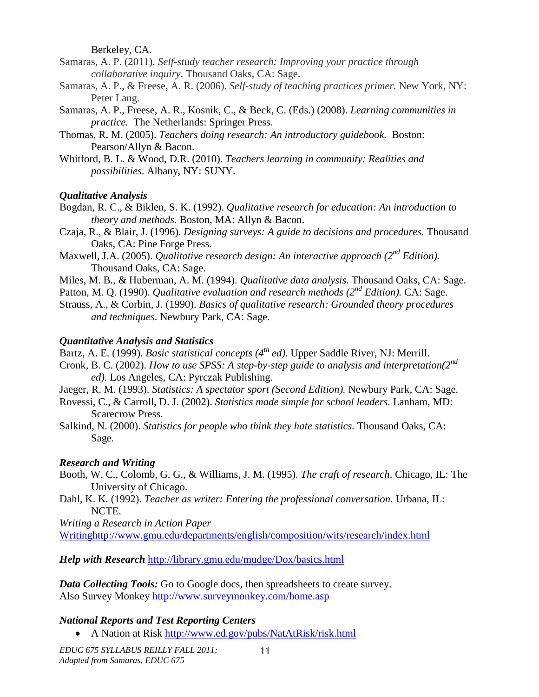Berkeley, CA.

- Samaras, A. P. (2011). *Self-study teacher research: Improving your practice through collaborative inquiry*. Thousand Oaks, CA: Sage.
- Samaras, A. P., & Freese, A. R. (2006). *Self-study of teaching practices primer.* New York, NY: Peter Lang.
- Samaras, A. P., Freese, A. R., Kosnik, C., & Beck, C. (Eds.) (2008). *Learning communities in practice.* The Netherlands: Springer Press.
- Thomas, R. M. (2005). *Teachers doing research: An introductory guidebook.* Boston: Pearson/Allyn & Bacon.
- Whitford, B. L. & Wood, D.R. (2010). *Teachers learning in community: Realities and possibilities*. Albany, NY: SUNY.

#### *Qualitative Analysis*

- Bogdan, R. C., & Biklen, S. K. (1992). *Qualitative research for education: An introduction to theory and methods*. Boston, MA: Allyn & Bacon.
- Czaja, R., & Blair, J. (1996). *Designing surveys: A guide to decisions and procedures.* Thousand Oaks, CA: Pine Forge Press.
- Maxwell, J.A. (2005). *Qualitative research design: An interactive approach (2nd Edition).* Thousand Oaks, CA: Sage.
- Miles, M. B., & Huberman, A. M. (1994). *Qualitative data analysis*. Thousand Oaks, CA: Sage.
- Patton, M. Q. (1990). *Qualitative evaluation and research methods (2nd Edition).* CA: Sage.
- Strauss, A., & Corbin, J. (1990). *Basics of qualitative research: Grounded theory procedures and techniques*. Newbury Park, CA: Sage.

#### *Quantitative Analysis and Statistics*

Bartz, A. E. (1999). *Basic statistical concepts (4th ed)*. Upper Saddle River, NJ: Merrill.

- Cronk, B. C. (2002). *How to use SPSS: A step-by-step guide to analysis and interpretation(2nd ed).* Los Angeles, CA: Pyrczak Publishing.
- Jaeger, R. M. (1993). *Statistics: A spectator sport (Second Edition).* Newbury Park, CA: Sage.
- Rovessi, C., & Carroll, D. J. (2002). *Statistics made simple for school leaders.* Lanham, MD: Scarecrow Press.
- Salkind, N. (2000). *Statistics for people who think they hate statistics.* Thousand Oaks, CA: Sage.

#### *Research and Writing*

- Booth, W. C., Colomb, G. G., & Williams, J. M. (1995). *The craft of research*. Chicago, IL: The University of Chicago.
- Dahl, K. K. (1992). *Teacher as writer: Entering the professional conversation*. Urbana, IL: NCTE.

*Writing a Research in Action Paper*

[Writinghttp://www.gmu.edu/departments/english/composition/wits/research/index.html](http://www.gmu.edu/departments/english/composition/wits/research/index.html)

*Help with Research* <http://library.gmu.edu/mudge/Dox/basics.html>

*Data Collecting Tools:* Go to Google docs, then spreadsheets to create survey. Also Survey Monkey<http://www.surveymonkey.com/home.asp>

#### *National Reports and Test Reporting Centers*

• A Nation at Risk<http://www.ed.gov/pubs/NatAtRisk/risk.html>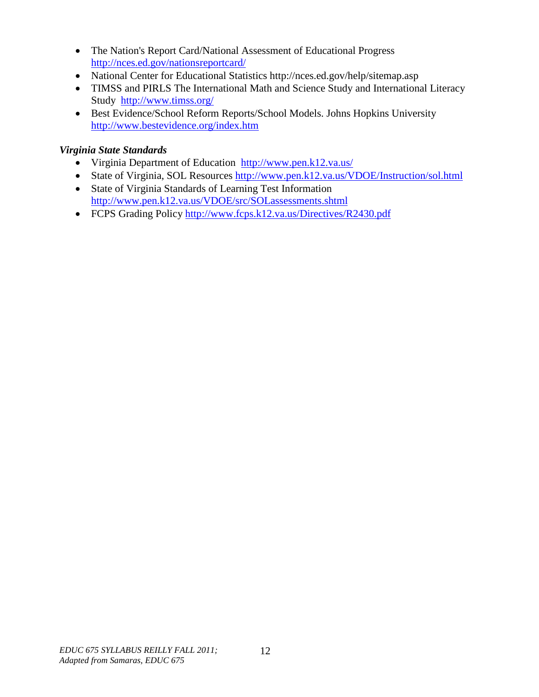- [The Nation's Report Card/](http://nces.ed.gov/nationsreportcard/)National Assessment of Educational Progress <http://nces.ed.gov/nationsreportcard/>
- National Center for Educational Statistics http://nces.ed.gov/help/sitemap.asp
- TIMSS and PIRLS [The International Math and Science Study](http://www.timss.org/) and International Literacy Study <http://www.timss.org/>
- Best Evidence/School Reform Reports/School Models. Johns Hopkins University <http://www.bestevidence.org/index.htm>

## *Virginia State Standards*

- [Virginia Department of Education http://www.pen.k12.va.us/](http://www.pen.k12.va.us/)
- State of Virginia, SOL Resources<http://www.pen.k12.va.us/VDOE/Instruction/sol.html>
- State of Virginia Standards of Learning Test Information <http://www.pen.k12.va.us/VDOE/src/SOLassessments.shtml>
- FCPS Grading Policy<http://www.fcps.k12.va.us/Directives/R2430.pdf>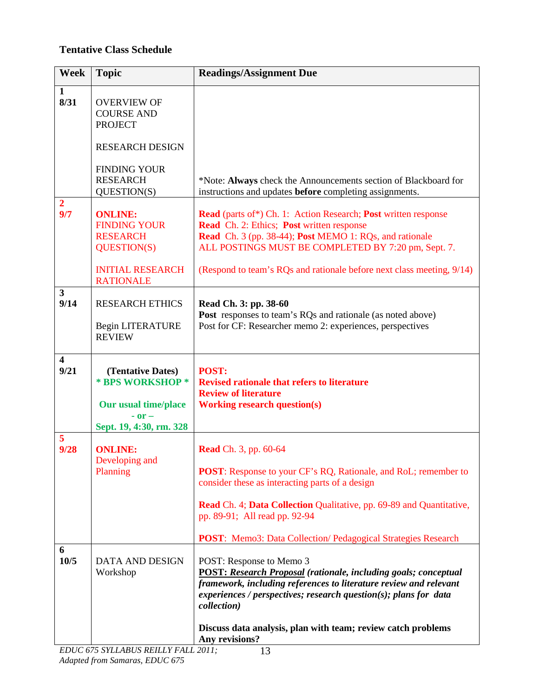## **Tentative Class Schedule**

| <b>Week</b>                     | <b>Topic</b>                                                                                              | <b>Readings/Assignment Due</b>                                                                                                                                                                                                                                                                                                                           |
|---------------------------------|-----------------------------------------------------------------------------------------------------------|----------------------------------------------------------------------------------------------------------------------------------------------------------------------------------------------------------------------------------------------------------------------------------------------------------------------------------------------------------|
| $\mathbf{1}$<br>8/31            | <b>OVERVIEW OF</b><br><b>COURSE AND</b><br><b>PROJECT</b>                                                 |                                                                                                                                                                                                                                                                                                                                                          |
|                                 | <b>RESEARCH DESIGN</b>                                                                                    |                                                                                                                                                                                                                                                                                                                                                          |
|                                 | <b>FINDING YOUR</b><br><b>RESEARCH</b><br>QUESTION(S)                                                     | *Note: Always check the Announcements section of Blackboard for<br>instructions and updates before completing assignments.                                                                                                                                                                                                                               |
| $\overline{2}$<br>9/7           | <b>ONLINE:</b><br><b>FINDING YOUR</b><br><b>RESEARCH</b><br><b>QUESTION(S)</b><br><b>INITIAL RESEARCH</b> | <b>Read</b> (parts of*) Ch. 1: Action Research; <b>Post</b> written response<br><b>Read</b> Ch. 2: Ethics; <b>Post</b> written response<br><b>Read</b> Ch. 3 (pp. 38-44); <b>Post MEMO</b> 1: RQs, and rationale<br>ALL POSTINGS MUST BE COMPLETED BY 7:20 pm, Sept. 7.<br>(Respond to team's RQs and rationale before next class meeting, 9/14)         |
|                                 | <b>RATIONALE</b>                                                                                          |                                                                                                                                                                                                                                                                                                                                                          |
| $\overline{\mathbf{3}}$<br>9/14 | <b>RESEARCH ETHICS</b><br>Begin LITERATURE<br><b>REVIEW</b>                                               | Read Ch. 3: pp. 38-60<br>Post responses to team's RQs and rationale (as noted above)<br>Post for CF: Researcher memo 2: experiences, perspectives                                                                                                                                                                                                        |
| $\overline{\mathbf{4}}$<br>9/21 | (Tentative Dates)<br>* BPS WORKSHOP *<br><b>Our usual time/place</b><br>$-0r-$<br>Sept. 19, 4:30, rm. 328 | POST:<br><b>Revised rationale that refers to literature</b><br><b>Review of literature</b><br><b>Working research question(s)</b>                                                                                                                                                                                                                        |
| $\overline{5}$<br>9/28          | <b>ONLINE:</b><br>Developing and<br>Planning                                                              | <b>Read</b> Ch. 3, pp. 60-64<br><b>POST:</b> Response to your CF's RQ, Rationale, and RoL; remember to<br>consider these as interacting parts of a design<br><b>Read</b> Ch. 4; <b>Data Collection</b> Qualitative, pp. 69-89 and Quantitative,<br>pp. 89-91; All read pp. 92-94<br><b>POST:</b> Memo3: Data Collection/ Pedagogical Strategies Research |
| 6<br>10/5                       | <b>DATA AND DESIGN</b><br>Workshop                                                                        | POST: Response to Memo 3<br><b>POST: Research Proposal (rationale, including goals; conceptual</b><br>framework, including references to literature review and relevant<br>experiences / perspectives; research question(s); plans for data<br>collection)<br>Discuss data analysis, plan with team; review catch problems                               |
|                                 |                                                                                                           | Any revisions?                                                                                                                                                                                                                                                                                                                                           |